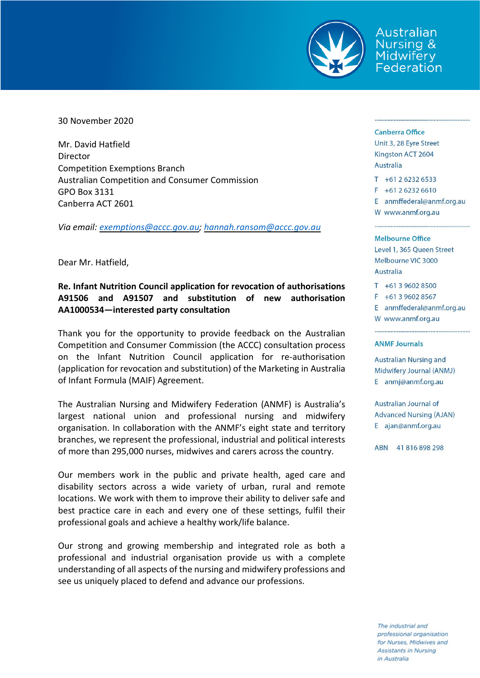

Australian **Nursing &** Midwifery Federation

30 November 2020

Mr. David Hatfield Director Competition Exemptions Branch Australian Competition and Consumer Commission GPO Box 3131 Canberra ACT 2601

*Via email: [exemptions@accc.gov.au;](mailto:exemptions@accc.gov.au) [hannah.ransom@accc.gov.au](mailto:hannah.ransom@accc.gov.au)*

Dear Mr. Hatfield,

## **Re. Infant Nutrition Council application for revocation of authorisations A91506 and A91507 and substitution of new authorisation AA1000534—interested party consultation**

Thank you for the opportunity to provide feedback on the Australian Competition and Consumer Commission (the ACCC) consultation process on the Infant Nutrition Council application for re-authorisation (application for revocation and substitution) of the Marketing in Australia of Infant Formula (MAIF) Agreement.

The Australian Nursing and Midwifery Federation (ANMF) is Australia's largest national union and professional nursing and midwifery organisation. In collaboration with the ANMF's eight state and territory branches, we represent the professional, industrial and political interests of more than 295,000 nurses, midwives and carers across the country.

Our members work in the public and private health, aged care and disability sectors across a wide variety of urban, rural and remote locations. We work with them to improve their ability to deliver safe and best practice care in each and every one of these settings, fulfil their professional goals and achieve a healthy work/life balance.

Our strong and growing membership and integrated role as both a professional and industrial organisation provide us with a complete understanding of all aspects of the nursing and midwifery professions and see us uniquely placed to defend and advance our professions.

## Canberra Office

Unit 3, 28 Eyre Street Kingston ACT 2604 Australia

 $T + 61262326533$  $F + 61262326610$ 

E anmffederal@anmf.org.au W www.anmf.org.au

## **Melbourne Office**

Level 1, 365 Queen Street Melbourne VIC 3000 Australia

 $T + 61396028500$ 

 $F + 61396028567$ 

E anmffederal@anmf.org.au

W www.anmf.org.au

## **ANMF Journals**

Australian Nursing and Midwifery Journal (ANMJ) E anmj@anmf.org.au

Australian Journal of **Advanced Nursing (AJAN)** E ajan@anmf.org.au

ABN 41816898298

The industrial and professional organisation for Nurses, Midwives and **Assistants in Nursing** in Australia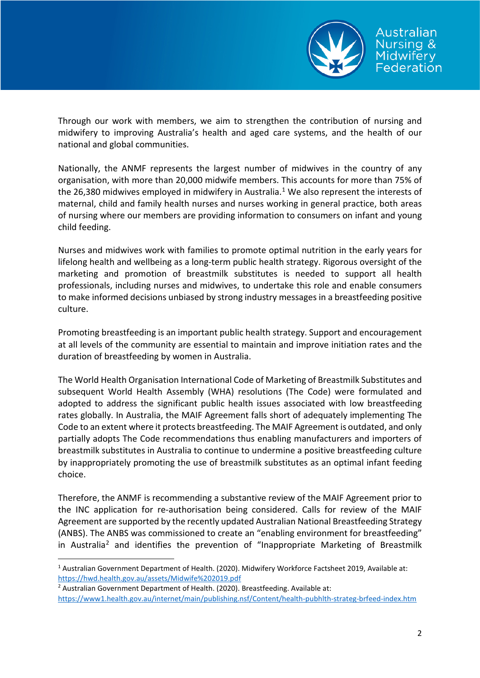

Through our work with members, we aim to strengthen the contribution of nursing and midwifery to improving Australia's health and aged care systems, and the health of our national and global communities.

Nationally, the ANMF represents the largest number of midwives in the country of any organisation, with more than 20,000 midwife members. This accounts for more than 75% of the 26,380 midwives employed in midwifery in Australia.<sup>[1](#page-1-0)</sup> We also represent the interests of maternal, child and family health nurses and nurses working in general practice, both areas of nursing where our members are providing information to consumers on infant and young child feeding.

Nurses and midwives work with families to promote optimal nutrition in the early years for lifelong health and wellbeing as a long-term public health strategy. Rigorous oversight of the marketing and promotion of breastmilk substitutes is needed to support all health professionals, including nurses and midwives, to undertake this role and enable consumers to make informed decisions unbiased by strong industry messages in a breastfeeding positive culture.

Promoting breastfeeding is an important public health strategy. Support and encouragement at all levels of the community are essential to maintain and improve initiation rates and the duration of breastfeeding by women in Australia.

The World Health Organisation International Code of Marketing of Breastmilk Substitutes and subsequent World Health Assembly (WHA) resolutions (The Code) were formulated and adopted to address the significant public health issues associated with low breastfeeding rates globally. In Australia, the MAIF Agreement falls short of adequately implementing The Code to an extent where it protects breastfeeding. The MAIF Agreement is outdated, and only partially adopts The Code recommendations thus enabling manufacturers and importers of breastmilk substitutes in Australia to continue to undermine a positive breastfeeding culture by inappropriately promoting the use of breastmilk substitutes as an optimal infant feeding choice.

Therefore, the ANMF is recommending a substantive review of the MAIF Agreement prior to the INC application for re-authorisation being considered. Calls for review of the MAIF Agreement are supported by the recently updated Australian National Breastfeeding Strategy (ANBS). The ANBS was commissioned to create an "enabling environment for breastfeeding" in Australia<sup>2</sup> and identifies the prevention of "Inappropriate Marketing of Breastmilk

<span id="page-1-0"></span> <sup>1</sup> Australian Government Department of Health. (2020). Midwifery Workforce Factsheet 2019, Available at: <https://hwd.health.gov.au/assets/Midwife%202019.pdf>

<span id="page-1-1"></span><sup>&</sup>lt;sup>2</sup> Australian Government Department of Health. (2020). Breastfeeding. Available at:

<https://www1.health.gov.au/internet/main/publishing.nsf/Content/health-pubhlth-strateg-brfeed-index.htm>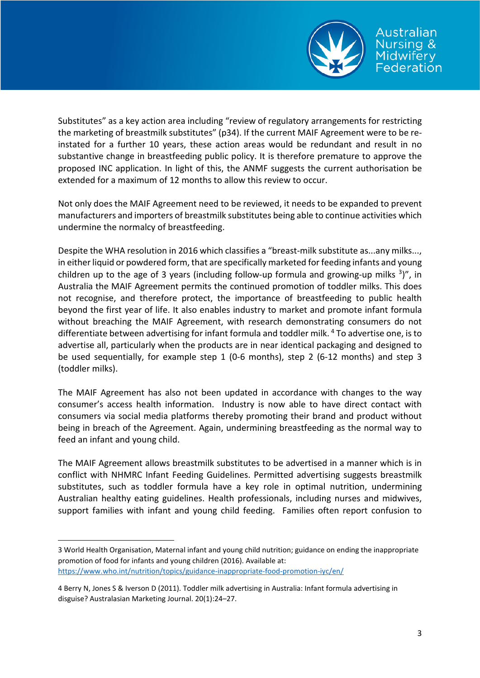

Substitutes" as a key action area including "review of regulatory arrangements for restricting the marketing of breastmilk substitutes" (p34). If the current MAIF Agreement were to be reinstated for a further 10 years, these action areas would be redundant and result in no substantive change in breastfeeding public policy. It is therefore premature to approve the proposed INC application. In light of this, the ANMF suggests the current authorisation be extended for a maximum of 12 months to allow this review to occur.

Not only does the MAIF Agreement need to be reviewed, it needs to be expanded to prevent manufacturers and importers of breastmilk substitutes being able to continue activities which undermine the normalcy of breastfeeding.

Despite the WHA resolution in 2016 which classifies a "breast-milk substitute as...any milks..., in either liquid or powdered form, that are specifically marketed for feeding infants and young children up to the age of 3 years (including follow-up formula and growing-up milks  $3)$ ", in Australia the MAIF Agreement permits the continued promotion of toddler milks. This does not recognise, and therefore protect, the importance of breastfeeding to public health beyond the first year of life. It also enables industry to market and promote infant formula without breaching the MAIF Agreement, with research demonstrating consumers do not differentiate between advertising for infant formula and toddler milk. [4](#page-2-1) To advertise one, is to advertise all, particularly when the products are in near identical packaging and designed to be used sequentially, for example step 1 (0-6 months), step 2 (6-12 months) and step 3 (toddler milks).

The MAIF Agreement has also not been updated in accordance with changes to the way consumer's access health information. Industry is now able to have direct contact with consumers via social media platforms thereby promoting their brand and product without being in breach of the Agreement. Again, undermining breastfeeding as the normal way to feed an infant and young child.

The MAIF Agreement allows breastmilk substitutes to be advertised in a manner which is in conflict with NHMRC Infant Feeding Guidelines. Permitted advertising suggests breastmilk substitutes, such as toddler formula have a key role in optimal nutrition, undermining Australian healthy eating guidelines. Health professionals, including nurses and midwives, support families with infant and young child feeding. Families often report confusion to

**.** 

<span id="page-2-0"></span><sup>3</sup> World Health Organisation, Maternal infant and young child nutrition; guidance on ending the inappropriate promotion of food for infants and young children (2016). Available at: <https://www.who.int/nutrition/topics/guidance-inappropriate-food-promotion-iyc/en/>

<span id="page-2-1"></span><sup>4</sup> Berry N, Jones S & Iverson D (2011). Toddler milk advertising in Australia: Infant formula advertising in disguise? Australasian Marketing Journal. 20(1):24–27.